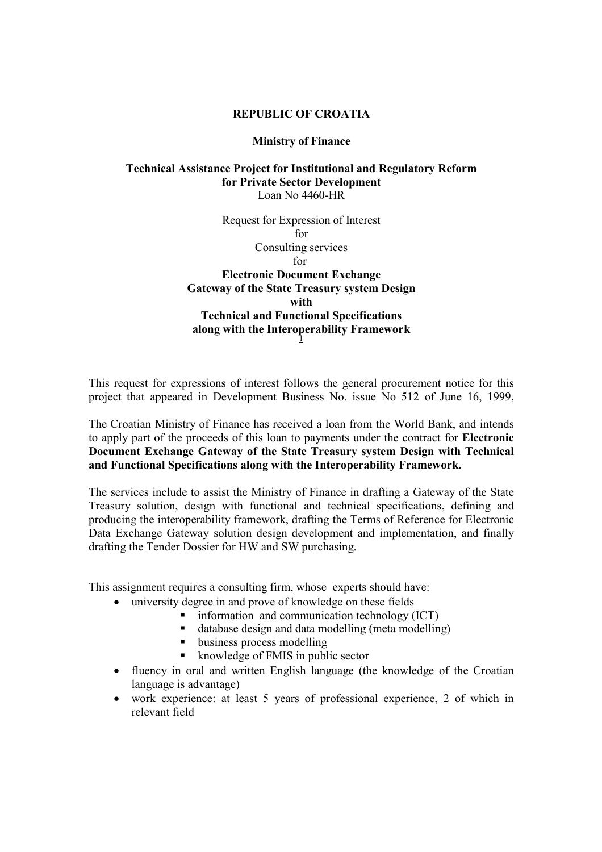### REPUBLIC OF CROATIA

#### Ministry of Finance

### Technical Assistance Project for Institutional and Regulatory Reform for Private Sector Development Loan No 4460-HR

Request for Expression of Interest for Consulting services for Electronic Document Exchange Gateway of the State Treasury system Design with

# Technical and Functional Specifications along with the Interoperability Framework

This request for expressions of interest follows the general procurement notice for this project that appeared in Development Business No. issue No 512 of June 16, 1999,

The Croatian Ministry of Finance has received a loan from the World Bank, and intends to apply part of the proceeds of this loan to payments under the contract for Electronic Document Exchange Gateway of the State Treasury system Design with Technical and Functional Specifications along with the Interoperability Framework.

The services include to assist the Ministry of Finance in drafting a Gateway of the State Treasury solution, design with functional and technical specifications, defining and producing the interoperability framework, drafting the Terms of Reference for Electronic Data Exchange Gateway solution design development and implementation, and finally drafting the Tender Dossier for HW and SW purchasing.

This assignment requires a consulting firm, whose experts should have:

- university degree in and prove of knowledge on these fields
	- information and communication technology (ICT)
		- database design and data modelling (meta modelling)
		- usiness process modelling
		- knowledge of FMIS in public sector
- fluency in oral and written English language (the knowledge of the Croatian language is advantage)
- work experience: at least 5 years of professional experience, 2 of which in relevant field